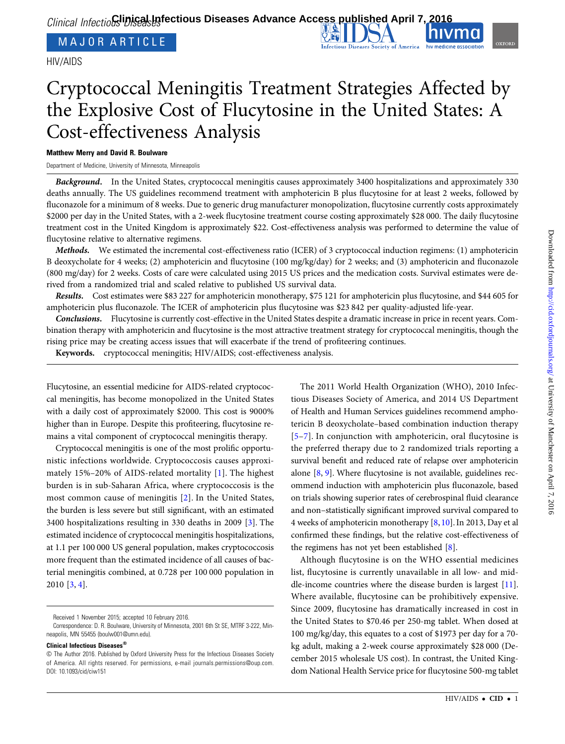MAJOR ARTICLE

HIV/AIDS

# Cryptococcal Meningitis Treatment Strategies Affected by the Explosive Cost of Flucytosine in the United States: A Cost-effectiveness Analysis

# Matthew Merry and David R. Boulware

Department of Medicine, University of Minnesota, Minneapolis

Background. In the United States, cryptococcal meningitis causes approximately 3400 hospitalizations and approximately 330 deaths annually. The US guidelines recommend treatment with amphotericin B plus flucytosine for at least 2 weeks, followed by fluconazole for a minimum of 8 weeks. Due to generic drug manufacturer monopolization, flucytosine currently costs approximately \$2000 per day in the United States, with a 2-week flucytosine treatment course costing approximately \$28 000. The daily flucytosine treatment cost in the United Kingdom is approximately \$22. Cost-effectiveness analysis was performed to determine the value of flucytosine relative to alternative regimens.

Methods. We estimated the incremental cost-effectiveness ratio (ICER) of 3 cryptococcal induction regimens: (1) amphotericin B deoxycholate for 4 weeks; (2) amphotericin and flucytosine (100 mg/kg/day) for 2 weeks; and (3) amphotericin and fluconazole (800 mg/day) for 2 weeks. Costs of care were calculated using 2015 US prices and the medication costs. Survival estimates were derived from a randomized trial and scaled relative to published US survival data.

Results. Cost estimates were \$83 227 for amphotericin monotherapy, \$75 121 for amphotericin plus flucytosine, and \$44 605 for amphotericin plus fluconazole. The ICER of amphotericin plus flucytosine was \$23 842 per quality-adjusted life-year.

Conclusions. Flucytosine is currently cost-effective in the United States despite a dramatic increase in price in recent years. Combination therapy with amphotericin and flucytosine is the most attractive treatment strategy for cryptococcal meningitis, though the rising price may be creating access issues that will exacerbate if the trend of profiteering continues.

Keywords. cryptococcal meningitis; HIV/AIDS; cost-effectiveness analysis.

Flucytosine, an essential medicine for AIDS-related cryptococcal meningitis, has become monopolized in the United States with a daily cost of approximately \$2000. This cost is 9000% higher than in Europe. Despite this profiteering, flucytosine remains a vital component of cryptococcal meningitis therapy.

Cryptococcal meningitis is one of the most prolific opportunistic infections worldwide. Cryptococcosis causes approximately 15%–20% of AIDS-related mortality [[1](#page-3-0)]. The highest burden is in sub-Saharan Africa, where cryptococcosis is the most common cause of meningitis [[2\]](#page-3-0). In the United States, the burden is less severe but still significant, with an estimated 3400 hospitalizations resulting in 330 deaths in 2009 [[3](#page-3-0)]. The estimated incidence of cryptococcal meningitis hospitalizations, at 1.1 per 100 000 US general population, makes cryptococcosis more frequent than the estimated incidence of all causes of bacterial meningitis combined, at 0.728 per 100 000 population in 2010 [\[3,](#page-3-0) [4\]](#page-3-0).

Received 1 November 2015; accepted 10 February 2016.

Clinical Infectious Diseases®

The 2011 World Health Organization (WHO), 2010 Infectious Diseases Society of America, and 2014 US Department of Health and Human Services guidelines recommend amphotericin B deoxycholate–based combination induction therapy [\[5](#page-3-0)–[7\]](#page-3-0). In conjunction with amphotericin, oral flucytosine is the preferred therapy due to 2 randomized trials reporting a survival benefit and reduced rate of relapse over amphotericin alone [[8](#page-3-0), [9](#page-3-0)]. Where flucytosine is not available, guidelines recommend induction with amphotericin plus fluconazole, based on trials showing superior rates of cerebrospinal fluid clearance and non–statistically significant improved survival compared to 4 weeks of amphotericin monotherapy [[8,](#page-3-0) [10\]](#page-3-0). In 2013, Day et al confirmed these findings, but the relative cost-effectiveness of the regimens has not yet been established [\[8\]](#page-3-0).

Although flucytosine is on the WHO essential medicines list, flucytosine is currently unavailable in all low- and middle-income countries where the disease burden is largest [\[11\]](#page-4-0). Where available, flucytosine can be prohibitively expensive. Since 2009, flucytosine has dramatically increased in cost in the United States to \$70.46 per 250-mg tablet. When dosed at 100 mg/kg/day, this equates to a cost of \$1973 per day for a 70 kg adult, making a 2-week course approximately \$28 000 (December 2015 wholesale US cost). In contrast, the United Kingdom National Health Service price for flucytosine 500-mg tablet

Correspondence: D. R. Boulware, University of Minnesota, 2001 6th St SE, MTRF 3-222, Minneapolis, MN 55455 [\(boulw001@umn.edu](mailto:boulw001@umn.edu)).

<sup>©</sup> The Author 2016. Published by Oxford University Press for the Infectious Diseases Society of America. All rights reserved. For permissions, e-mail [journals.permissions@oup.com](mailto:journals.permissions@oup.com). DOI: 10.1093/cid/ciw151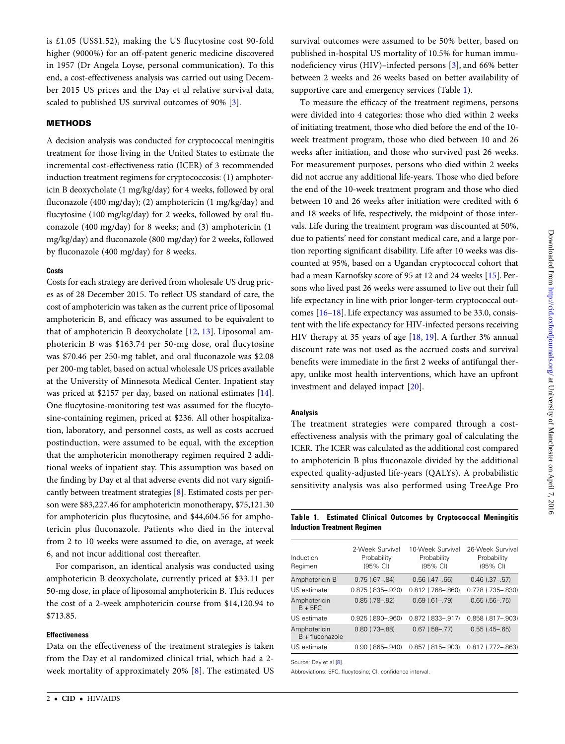is £1.05 (US\$1.52), making the US flucytosine cost 90-fold higher (9000%) for an off-patent generic medicine discovered in 1957 (Dr Angela Loyse, personal communication). To this end, a cost-effectiveness analysis was carried out using December 2015 US prices and the Day et al relative survival data, scaled to published US survival outcomes of 90% [[3](#page-3-0)].

# **METHODS**

A decision analysis was conducted for cryptococcal meningitis treatment for those living in the United States to estimate the incremental cost-effectiveness ratio (ICER) of 3 recommended induction treatment regimens for cryptococcosis: (1) amphotericin B deoxycholate (1 mg/kg/day) for 4 weeks, followed by oral fluconazole (400 mg/day); (2) amphotericin (1 mg/kg/day) and flucytosine (100 mg/kg/day) for 2 weeks, followed by oral fluconazole (400 mg/day) for 8 weeks; and (3) amphotericin (1 mg/kg/day) and fluconazole (800 mg/day) for 2 weeks, followed by fluconazole (400 mg/day) for 8 weeks.

# **Costs**

Costs for each strategy are derived from wholesale US drug prices as of 28 December 2015. To reflect US standard of care, the cost of amphotericin was taken as the current price of liposomal amphotericin B, and efficacy was assumed to be equivalent to that of amphotericin B deoxycholate [\[12](#page-4-0), [13](#page-4-0)]. Liposomal amphotericin B was \$163.74 per 50-mg dose, oral flucytosine was \$70.46 per 250-mg tablet, and oral fluconazole was \$2.08 per 200-mg tablet, based on actual wholesale US prices available at the University of Minnesota Medical Center. Inpatient stay was priced at \$2157 per day, based on national estimates [\[14\]](#page-4-0). One flucytosine-monitoring test was assumed for the flucytosine-containing regimen, priced at \$236. All other hospitalization, laboratory, and personnel costs, as well as costs accrued postinduction, were assumed to be equal, with the exception that the amphotericin monotherapy regimen required 2 additional weeks of inpatient stay. This assumption was based on the finding by Day et al that adverse events did not vary significantly between treatment strategies [[8](#page-3-0)]. Estimated costs per person were \$83,227.46 for amphotericin monotherapy, \$75,121.30 for amphotericin plus flucytosine, and \$44,604.56 for amphotericin plus fluconazole. Patients who died in the interval from 2 to 10 weeks were assumed to die, on average, at week 6, and not incur additional cost thereafter.

For comparison, an identical analysis was conducted using amphotericin B deoxycholate, currently priced at \$33.11 per 50-mg dose, in place of liposomal amphotericin B. This reduces the cost of a 2-week amphotericin course from \$14,120.94 to \$713.85.

# Effectiveness

Data on the effectiveness of the treatment strategies is taken from the Day et al randomized clinical trial, which had a 2 week mortality of approximately 20% [[8](#page-3-0)]. The estimated US survival outcomes were assumed to be 50% better, based on published in-hospital US mortality of 10.5% for human immunodeficiency virus (HIV)–infected persons [[3](#page-3-0)], and 66% better between 2 weeks and 26 weeks based on better availability of supportive care and emergency services (Table 1).

To measure the efficacy of the treatment regimens, persons were divided into 4 categories: those who died within 2 weeks of initiating treatment, those who died before the end of the 10 week treatment program, those who died between 10 and 26 weeks after initiation, and those who survived past 26 weeks. For measurement purposes, persons who died within 2 weeks did not accrue any additional life-years. Those who died before the end of the 10-week treatment program and those who died between 10 and 26 weeks after initiation were credited with 6 and 18 weeks of life, respectively, the midpoint of those intervals. Life during the treatment program was discounted at 50%, due to patients' need for constant medical care, and a large portion reporting significant disability. Life after 10 weeks was discounted at 95%, based on a Ugandan cryptococcal cohort that had a mean Karnofsky score of 95 at 12 and 24 weeks [[15](#page-4-0)]. Persons who lived past 26 weeks were assumed to live out their full life expectancy in line with prior longer-term cryptococcal outcomes [\[16](#page-4-0)–[18](#page-4-0)]. Life expectancy was assumed to be 33.0, consistent with the life expectancy for HIV-infected persons receiving HIV therapy at 35 years of age [\[18](#page-4-0), [19](#page-4-0)]. A further 3% annual discount rate was not used as the accrued costs and survival benefits were immediate in the first 2 weeks of antifungal therapy, unlike most health interventions, which have an upfront investment and delayed impact [\[20](#page-4-0)].

#### Analysis

The treatment strategies were compared through a costeffectiveness analysis with the primary goal of calculating the ICER. The ICER was calculated as the additional cost compared to amphotericin B plus fluconazole divided by the additional expected quality-adjusted life-years (QALYs). A probabilistic sensitivity analysis was also performed using TreeAge Pro

Table 1. Estimated Clinical Outcomes by Cryptococcal Meningitis Induction Treatment Regimen

| Induction<br>Regimen              | 2-Week Survival<br>Probability<br>(95% CI) | 10-Week Survival<br>Probability<br>(95% CI) | 26-Week Survival<br>Probability<br>(95% CI) |
|-----------------------------------|--------------------------------------------|---------------------------------------------|---------------------------------------------|
| Amphotericin B                    | $0.75(.67 - .84)$                          | $0.56$ $(.47 - .66)$                        | $0.46$ $(.37-.57)$                          |
| US estimate                       | $0.875$ $(.835-.920)$                      | $0.812$ (.768-.860)                         | 0.778 (.735-.830)                           |
| Amphotericin<br>$B + 5FC$         | $0.85$ $(.78 - .92)$                       | $0.69(.61-.79)$                             | $0.65$ $(.56-.75)$                          |
| US estimate                       | $0.925(.890-.960)$                         | $0.872$ $(.833 - .917)$                     | $0.858$ $(.817 - .903)$                     |
| Amphotericin<br>$B +$ fluconazole | $0.80$ (.73-.88)                           | $0.67$ $(.58-.77)$                          | $0.55$ $(.45-.65)$                          |
| US estimate                       | $0.90$ $(.865-.940)$                       | $0.857$ $(.815-.903)$                       | 0.817 (.772-.863)                           |

Source: Day et al [\[8\]](#page-3-0).

Abbreviations: 5FC, flucytosine; CI, confidence interval.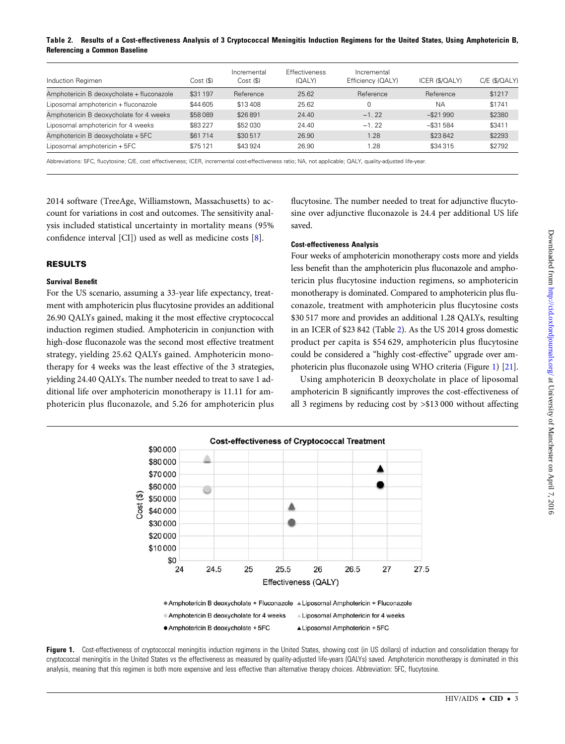## Table 2. Results of a Cost-effectiveness Analysis of 3 Cryptococcal Meningitis Induction Regimens for the United States, Using Amphotericin B, Referencing a Common Baseline

| Induction Regimen                         | Cost (\$) | Incremental<br>Cost (\$) | <b>Effectiveness</b><br>(QALY) | Incremental<br>Efficiency (QALY) | ICER (\$/QALY) | C/E (\$/QALY) |
|-------------------------------------------|-----------|--------------------------|--------------------------------|----------------------------------|----------------|---------------|
| Amphotericin B deoxycholate + fluconazole | \$31 197  | Reference                | 25.62                          | Reference                        | Reference      | \$1217        |
| Liposomal amphotericin + fluconazole      | \$44 605  | \$13408                  | 25.62                          |                                  | <b>NA</b>      | \$1741        |
| Amphotericin B deoxycholate for 4 weeks   | \$58089   | \$26891                  | 24.40                          | $-1.22$                          | $-$ \$21990    | \$2380        |
| Liposomal amphotericin for 4 weeks        | \$83227   | \$52030                  | 24.40                          | $-1.22$                          | $-$ \$31 584   | \$3411        |
| Amphotericin B deoxycholate + 5FC         | \$61714   | \$30517                  | 26.90                          | 1.28                             | \$23842        | \$2293        |
| Liposomal amphotericin + 5FC              | \$75121   | \$43924                  | 26.90                          | 1.28                             | \$34 315       | \$2792        |

Abbreviations: 5FC, flucytosine; C/E, cost effectiveness; ICER, incremental cost-effectiveness ratio; NA, not applicable; QALY, quality-adjusted life-year

2014 software (TreeAge, Williamstown, Massachusetts) to account for variations in cost and outcomes. The sensitivity analysis included statistical uncertainty in mortality means (95% confidence interval [CI]) used as well as medicine costs [\[8](#page-3-0)].

# RESULTS

# Survival Benefit

For the US scenario, assuming a 33-year life expectancy, treatment with amphotericin plus flucytosine provides an additional 26.90 QALYs gained, making it the most effective cryptococcal induction regimen studied. Amphotericin in conjunction with high-dose fluconazole was the second most effective treatment strategy, yielding 25.62 QALYs gained. Amphotericin monotherapy for 4 weeks was the least effective of the 3 strategies, yielding 24.40 QALYs. The number needed to treat to save 1 additional life over amphotericin monotherapy is 11.11 for amphotericin plus fluconazole, and 5.26 for amphotericin plus

flucytosine. The number needed to treat for adjunctive flucytosine over adjunctive fluconazole is 24.4 per additional US life saved.

# Cost-effectiveness Analysis

Four weeks of amphotericin monotherapy costs more and yields less benefit than the amphotericin plus fluconazole and amphotericin plus flucytosine induction regimens, so amphotericin monotherapy is dominated. Compared to amphotericin plus fluconazole, treatment with amphotericin plus flucytosine costs \$30 517 more and provides an additional 1.28 QALYs, resulting in an ICER of \$23 842 (Table 2). As the US 2014 gross domestic product per capita is \$54 629, amphotericin plus flucytosine could be considered a "highly cost-effective" upgrade over amphotericin plus fluconazole using WHO criteria (Figure 1) [[21\]](#page-4-0).

Using amphotericin B deoxycholate in place of liposomal amphotericin B significantly improves the cost-effectiveness of all 3 regimens by reducing cost by >\$13 000 without affecting



Figure 1. Cost-effectiveness of cryptococcal meningitis induction regimens in the United States, showing cost (in US dollars) of induction and consolidation therapy for cryptococcal meningitis in the United States vs the effectiveness as measured by quality-adjusted life-years (QALYs) saved. Amphotericin monotherapy is dominated in this analysis, meaning that this regimen is both more expensive and less effective than alternative therapy choices. Abbreviation: 5FC, flucytosine.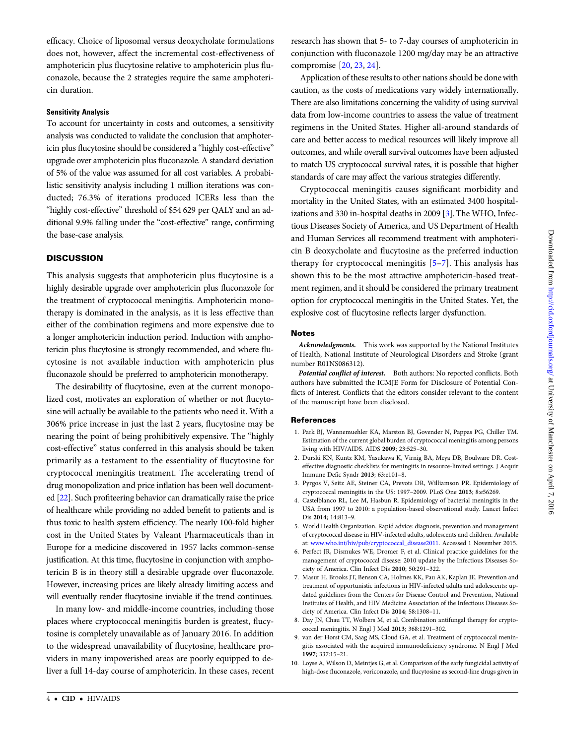<span id="page-3-0"></span>efficacy. Choice of liposomal versus deoxycholate formulations does not, however, affect the incremental cost-effectiveness of amphotericin plus flucytosine relative to amphotericin plus fluconazole, because the 2 strategies require the same amphotericin duration.

### Sensitivity Analysis

To account for uncertainty in costs and outcomes, a sensitivity analysis was conducted to validate the conclusion that amphotericin plus flucytosine should be considered a "highly cost-effective" upgrade over amphotericin plus fluconazole. A standard deviation of 5% of the value was assumed for all cost variables. A probabilistic sensitivity analysis including 1 million iterations was conducted; 76.3% of iterations produced ICERs less than the "highly cost-effective" threshold of \$54 629 per QALY and an additional 9.9% falling under the "cost-effective" range, confirming the base-case analysis.

# **DISCUSSION**

This analysis suggests that amphotericin plus flucytosine is a highly desirable upgrade over amphotericin plus fluconazole for the treatment of cryptococcal meningitis. Amphotericin monotherapy is dominated in the analysis, as it is less effective than either of the combination regimens and more expensive due to a longer amphotericin induction period. Induction with amphotericin plus flucytosine is strongly recommended, and where flucytosine is not available induction with amphotericin plus fluconazole should be preferred to amphotericin monotherapy.

The desirability of flucytosine, even at the current monopolized cost, motivates an exploration of whether or not flucytosine will actually be available to the patients who need it. With a 306% price increase in just the last 2 years, flucytosine may be nearing the point of being prohibitively expensive. The "highly cost-effective" status conferred in this analysis should be taken primarily as a testament to the essentiality of flucytosine for cryptococcal meningitis treatment. The accelerating trend of drug monopolization and price inflation has been well documented [[22](#page-4-0)]. Such profiteering behavior can dramatically raise the price of healthcare while providing no added benefit to patients and is thus toxic to health system efficiency. The nearly 100-fold higher cost in the United States by Valeant Pharmaceuticals than in Europe for a medicine discovered in 1957 lacks common-sense justification. At this time, flucytosine in conjunction with amphotericin B is in theory still a desirable upgrade over fluconazole. However, increasing prices are likely already limiting access and will eventually render flucytosine inviable if the trend continues.

In many low- and middle-income countries, including those places where cryptococcal meningitis burden is greatest, flucytosine is completely unavailable as of January 2016. In addition to the widespread unavailability of flucytosine, healthcare providers in many impoverished areas are poorly equipped to deliver a full 14-day course of amphotericin. In these cases, recent research has shown that 5- to 7-day courses of amphotericin in conjunction with fluconazole 1200 mg/day may be an attractive compromise [\[20](#page-4-0), [23,](#page-4-0) [24\]](#page-4-0).

Application of these results to other nations should be done with caution, as the costs of medications vary widely internationally. There are also limitations concerning the validity of using survival data from low-income countries to assess the value of treatment regimens in the United States. Higher all-around standards of care and better access to medical resources will likely improve all outcomes, and while overall survival outcomes have been adjusted to match US cryptococcal survival rates, it is possible that higher standards of care may affect the various strategies differently.

Cryptococcal meningitis causes significant morbidity and mortality in the United States, with an estimated 3400 hospitalizations and 330 in-hospital deaths in 2009 [3]. The WHO, Infectious Diseases Society of America, and US Department of Health and Human Services all recommend treatment with amphotericin B deoxycholate and flucytosine as the preferred induction therapy for cryptococcal meningitis [5–7]. This analysis has shown this to be the most attractive amphotericin-based treatment regimen, and it should be considered the primary treatment option for cryptococcal meningitis in the United States. Yet, the explosive cost of flucytosine reflects larger dysfunction.

#### **Notes**

Acknowledgments. This work was supported by the National Institutes of Health, National Institute of Neurological Disorders and Stroke (grant number R01NS086312).

Potential conflict of interest. Both authors: No reported conflicts. Both authors have submitted the ICMJE Form for Disclosure of Potential Conflicts of Interest. Conflicts that the editors consider relevant to the content of the manuscript have been disclosed.

#### References

- 1. Park BJ, Wannemuehler KA, Marston BJ, Govender N, Pappas PG, Chiller TM. Estimation of the current global burden of cryptococcal meningitis among persons living with HIV/AIDS. AIDS 2009; 23:525–30.
- 2. Durski KN, Kuntz KM, Yasukawa K, Virnig BA, Meya DB, Boulware DR. Costeffective diagnostic checklists for meningitis in resource-limited settings. J Acquir Immune Defic Syndr 2013; 63:e101–8.
- 3. Pyrgos V, Seitz AE, Steiner CA, Prevots DR, Williamson PR. Epidemiology of cryptococcal meningitis in the US: 1997–2009. PLoS One 2013; 8:e56269.
- 4. Castelblanco RL, Lee M, Hasbun R. Epidemiology of bacterial meningitis in the USA from 1997 to 2010: a population-based observational study. Lancet Infect Dis 2014; 14:813–9.
- 5. World Health Organization. Rapid advice: diagnosis, prevention and management of cryptococcal disease in HIV-infected adults, adolescents and children. Available at: [www.who.int/hiv/pub/cryptococcal\\_disease2011](http://www.who.int/hiv/pub/cryptococcal_disease2011). Accessed 1 November 2015.
- 6. Perfect JR, Dismukes WE, Dromer F, et al. Clinical practice guidelines for the management of cryptococcal disease: 2010 update by the Infectious Diseases Society of America. Clin Infect Dis 2010; 50:291–322.
- 7. Masur H, Brooks JT, Benson CA, Holmes KK, Pau AK, Kaplan JE. Prevention and treatment of opportunistic infections in HIV-infected adults and adolescents: updated guidelines from the Centers for Disease Control and Prevention, National Institutes of Health, and HIV Medicine Association of the Infectious Diseases Society of America. Clin Infect Dis 2014; 58:1308–11.
- 8. Day JN, Chau TT, Wolbers M, et al. Combination antifungal therapy for cryptococcal meningitis. N Engl J Med 2013; 368:1291–302.
- 9. van der Horst CM, Saag MS, Cloud GA, et al. Treatment of cryptococcal meningitis associated with the acquired immunodeficiency syndrome. N Engl J Med 1997; 337:15–21.
- 10. Loyse A, Wilson D, Meintjes G, et al. Comparison of the early fungicidal activity of high-dose fluconazole, voriconazole, and flucytosine as second-line drugs given in